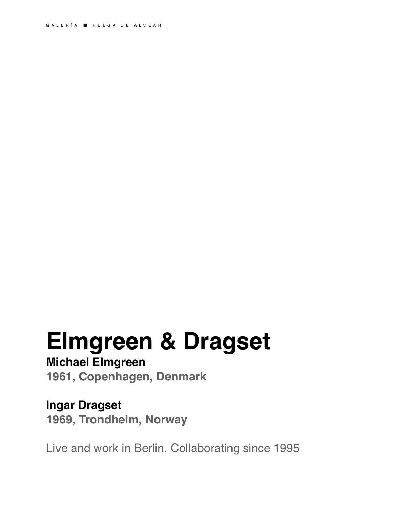# **Elmgreen & Dragset**

# **Michael Elmgreen**

**1961, Copenhagen, Denmark**

# **Ingar Dragset**

**1969, Trondheim, Norway**

Live and work in Berlin. Collaborating since 1995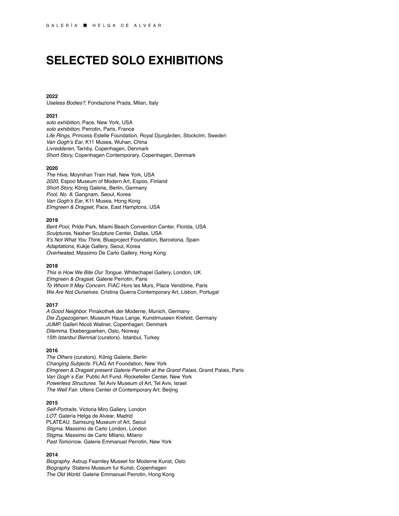# **SELECTED SOLO EXHIBITIONS**

# **2022**

*Useless Bodies?,* Fondazione Prada, Milan, Italy

# **2021**

*solo exhibition*, Pace, New York, USA *solo exhibition*, Perrotin, Paris, France *Life Rings,* Princess Estelle Foundation, Royal Djurgården, Stockolm, Sweden *Van Gogh's Ear*, K11 Musea, Wuhan, China *Livredderen*, Tarnby, Copenhagen, Denmark *Short Story,* Copenhagen Contemporary, Copenhagen, Denmark

## **2020**

*The Hive*, Moynihan Train Hall, New York, USA *2020*, Espoo Museum of Modern Art, Espoo, Finland *Short Story,* König Galerie, Berlin, Germany *Pool, No. 8*, Gangnam, Seoul, Korea *Van Gogh's Ear*, K11 Musea, Hong Kong *Elmgreen & Dragset,* Pace, East Hamptons, USA

## **2019**

*Bent Pool*, Pride Park, Miami Beach Convention Center, Florida, USA *Sculptures,* Nasher Sculpture Center, Dallas, USA *It's Not What You Think,* Blueproject Foundation, Barcelona, Spain *Adaptations*, Kukje Gallery, Seoul, Korea *Overheated*, Massimo De Carlo Gallery, Hong Kong

# **2018**

*This is How We Bite Our Tongue.* Whitechapel Gallery, London, UK *Elmgreen & Dragset.* Galerie Perrotin, Paris *To Whom It May Concern.* FIAC Hors les Murs, Place Vendôme, Paris *We Are Not Ourselves.* Cristina Guerra Contemporary Art, Lisbon, Portugal

# **2017**

*A Good Neighbor.* Pinakothek der Moderne, Munich, Germany *Die Zugezogenen.* Museum Haus Lange, Kunstmuseen Krefeld, Germany *JUMP.* Galleri Nicoli Wallner, Copenhagen, Denmark *Dilemma*. Ekebergparken, Oslo, Norway *15th Istanbul Biennial* (curators). Istanbul, Turkey

## **2016**

*The Others* (curators). König Galerie, Berlin *Changing Subjects.* FLAG Art Foundation, New York *Elmgreen & Dragset present Galerie Perrotin at the Grand Palais*. Grand Palais, Paris *Van Gogh´s Ear.* Public Art Fund. Rockefeller Center, New York *Powerless Structures.* Tel Aviv Museum of Art, Tel Aviv, Israel *The Well Fair.* Ullens Center of Contemporary Art. Beijing

# **2015**

*Self-Portraits.* Victoria Miro Gallery, London *LOT.* Galería Helga de Alvear, Madrid PLATEAU. Samsung Museum of Art, Seoul *Stigma.* Massimo de Carlo London, London *Stigma.* Massimo de Carlo Milano, Milano *Past Tomorrow*. Galerie Emmanuel Perrotin, New York

## **2014**

*Biography.* [Astrup Fearnley Museet for Moderne Kunst,](http://www.artfacts.net/fr/institution/astrup-fearnley-museet-for-moderne-kunst-2252/vue-globale.html) Oslo *Biography.* Statens Museum fur Kunst, Copenhagen *The Old World*. Galerie Emmanuel Perrotin, Hong Kong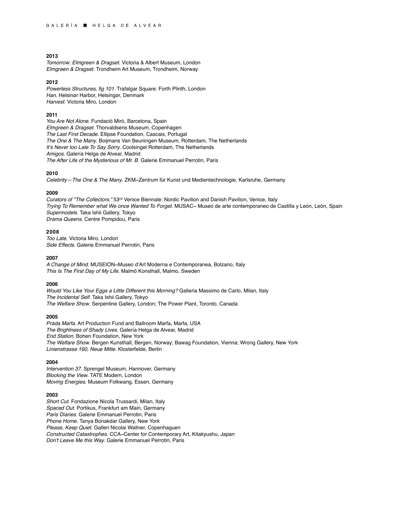*Tomorrow: Elmgreen & Dragset.* Victoria & Albert Museum, London *Elmgreen & Dragset.* Trondheim Art Museum, Trondheim, Norway

# **2012**

*Powerless Structures, fig 101*. Trafalgar Square: Forth Plinth, London *Han*. Helsinør Harbor, Helsingør, Denmark *Harvest*. Victoria Miro, London

# **2011**

*You Are Not Alone*. Fundació Miró, Barcelona, Spain *Elmgreen & Dragset.* Thorvaldsens Museum, Copenhagen *The Last First Decade*. Ellipse Foundation, Cascais, Portugal *The One & The Many*. Boijmans Van Beuningen Museum, Rotterdam, The Netherlands *It's Never too Late To Say Sorry*. Coolsingel Rotterdam, The Netherlands *Amigos*. Galería Helga de Alvear, Madrid *The After Life of the Mysterious of Mr. B*. Galerie Emmanuel Perrotin, Paris

#### **2010**

*Celebrity—The One & The Many*. ZKM~Zentrum für Kunst und Medientechnologie, Karlsruhe, Germany

## **2009**

*Curators of "The Collectors."* 53rd Venice Biennale: Nordic Pavilion and Danish Pavilion, Venice, Italy *Trying To Remember what We once Wanted To Forget*. MUSAC~ Museo de arte contemporaneo de Castilla y León, León, Spain *Supermodels*. Taka Ishii Gallery, Tokyo *Drama Queens*. Centre Pompidou, Paris

# **2008**

*Too Late*. Victoria Miro, London *Side Effects*. Galerie Emmanuel Perrotin, Paris

#### **2007**

*A Change of Mind*. MUSEION~Museo d'Art Moderna e Contemporanea, Bolzano, Italy *This Is The First Day of My Life*. Malmö Konsthall, Malmo, Sweden

## **2006**

*Would You Like Your Eggs a Little Different this Morning?* Galleria Massimo de Carlo, Milan, Italy *The Incidental Self*. Taka Ishii Gallery, Tokyo *The Welfare Show*. Serpentine Gallery, London; The Power Plant, Toronto, Canada

#### **2005**

*Prada Marfa*. Art Production Fund and Ballroom Marfa, Marfa, USA *The Brightness of Shady Lives*. Galería Helga de Alvear, Madrid *End Station*. Bohen Foundation, New York *The Welfare Show*. Bergen Kunsthall, Bergen, Norway; Bawag Foundation, Vienna; Wrong Gallery, New York *Linienstrasse 160, Neue Mitte*. Klosterfelde, Berlin

# **2004**

*Intervention 37*. Sprengel Museum, Hannover, Germany *Blocking the View*. TATE Modern, London *Moving Energies*. Museum Folkwang, Essen, Germany

#### **2003**

*Short Cut*. Fondazione Nicola Trussardi, Milan, Italy *Spaced Out.* Portikus, Frankfurt am Main, Germany *Paris Diaries*. Galerie Emmanuel Perrotin, Paris *Phone Home*. Tanya Bonakdar Gallery, New York *Please, Keep Quiet*. Galleri Nicolai Wallner, Copenhaguen *Constructed Catastrophes*. CCA~Center for Contemporary Art, Kitakyushu, Japan *Don't Leave Me this Way*. Galerie Emmanuel Perrotin, Paris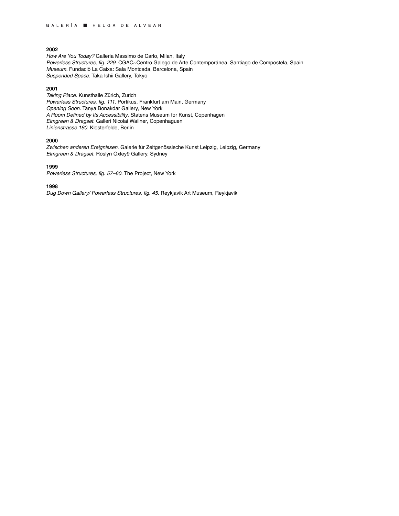*How Are You Today?* Galleria Massimo de Carlo, Milan, Italy *Powerless Structures, fig. 229*. CGAC~Centro Galego de Arte Contemporánea, Santiago de Compostela, Spain *Museum*. Fundaciò La Caixa: Sala Montcada, Barcelona, Spain *Suspended Space*. Taka Ishii Gallery, Tokyo

# **2001**

*Taking Place*. Kunsthalle Zürich, Zurich *Powerless Structures, fig. 111*. Portikus, Frankfurt am Main, Germany *Opening Soon*. Tanya Bonakdar Gallery, New York *A Room Defined by Its Accessibility*. Statens Museum for Kunst, Copenhagen *Elmgreen & Dragset*. Galleri Nicolai Wallner, Copenhaguen *Linienstrasse 160*. Klosterfelde, Berlin

## **2000**

*Zwischen anderen Ereignissen*. Galerie für Zeitgenössische Kunst Leipzig, Leipzig, Germany *Elmgreen & Dragset*. Roslyn Oxley9 Gallery, Sydney

# **1999**

*Powerless Structures, fig. 57–60*. The Project, New York

# **1998**

*Dug Down Gallery/ Powerless Structures, fig. 45*. Reykjavik Art Museum, Reykjavik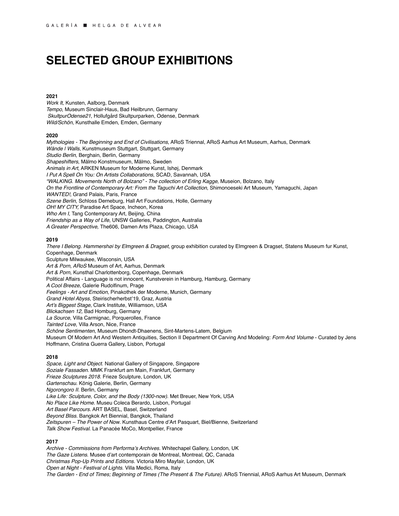# **SELECTED GROUP EXHIBITIONS**

# **2021**

*Work It,* Kunsten, Aalborg, Denmark *Tempo*, Museum Sinclair-Haus, Bad Heilbrunn, Germany *SkultpurOdense21*, Hollufgård Skultpurparken, Odense, Denmark *Wild/Schön*, Kunsthalle Emden, Emden, Germany

## **2020**

*Mythologies - The Beginning and End of Civilisations*, ARoS Triennal, ARoS Aarhus Art Museum, Aarhus, Denmark *Wände | Walls*, Kunstmuseum Stuttgart, Stuttgart, Germany *Studio Berlin,* Berghain, Berlin, Germany *Shapeshifters*, Mälmo Konstmuseum, Mälmo, Sweden *Animals in Art*, ARKEN Museum for Moderne Kunst, Ishøj, Denmark *I Put A Spell On You: On Artists Collaborations*, SCAD, Savannah, USA *"WALKING. Movements North of Bolzano" - The collection of Erling Kagge,* Museion, Bolzano, Italy *On the Frontline of Contemporary Art: From the Taguchi Art Collection*, Shimonoeseki Art Museum, Yamaguchi, Japan *WANTED!*, Grand Palais, Paris, France *Szene Berlin*, Schloss Derneburg, Hall Art Foundations, Holle, Germany *OH! MY CITY,* Paradise Art Space, Incheon, Korea *Who Am I*, Tang Contemporary Art, Beijing, China *Friendship as a Way of Life*, UNSW Galleries, Paddington, Australia *A Greater Perspective,* The606*,* Damen Arts Plaza, Chicago, USA

# **2019**

*There I Belong. Hammershøi by Elmgreen & Dragset*, group exhibition curated by Elmgreen & Dragset, Statens Museum fur Kunst, Copenhage, Denmark Sculpture Milwaukee, Wisconsin, USA *Art & Porn, ARoS* Museum of Art, Aarhus, Denmark *Art & Porn,* Kunsthal Charlottenborg, Copenhage, Denmark Political Affairs - Language is not innocent, Kunstverein in Hamburg, Hamburg, Germany *A Cool Breeze*, Galerie Rudolfinum, Prage *Feelings - Art and Emotion,* Pinakothek der Moderne, Munich, Germany *Grand Hotel Abyss*, Steirischerherbst'19, Graz, Austria *Art's Biggest Stage*, Clark Institute, Williamson, USA *Blickachsen 12,* Bad Homburg, Germany *La Source*, Villa Carmignac, Porquerolles, France *Tainted Love*, Villa Arson, Nice, France *Schöne Sentimenten*, Museum Dhondt-Dhaenens, Sint-Martens-Latem, Belgium Museum Of Modern Art And Western Antiquities, Section II Department Of Carving And Modeling: *Form And Volume* - Curated by Jens Hoffmann, Cristina Guerra Gallery, Lisbon, Portugal

## **2018**

*Space, Light and Object*. National Gallery of Singapore, Singapore *Soziale Fassaden.* MMK Frankfurt am Main, Frankfurt, Germany *Frieze Sculptures 2018*. Frieze Sculpture, London, UK *Gartenschau.* König Galerie, Berlin, Germany *Ngorongoro II.* Berlin, Germany *Like Life: Sculpture, Color, and the Body (1300-now)*. Met Breuer, New York, USA *No Place Like Home*. Museu Coleca Berardo, Lisbon, Portugal *Art Basel Parcours*. ART BASEL, Basel, Switzerland *Beyond Bliss*. Bangkok Art Biennial, Bangkok, Thailand *Zeitspuren – The Power of Now*. Kunsthaus Centre d'Art Pasquart, Biel/Bienne, Switzerland *Talk Show Festival*. La Panacée MoCo, Montpellier, France

# **2017**

*Archive - Commissions from Performa's Archives.* Whitechapel Gallery, London, UK *The Gaze Listens*. Musee d'art contemporain de Montreal, Montreal, QC, Canada *Christmas Pop-Up Prints and Editions.* Victoria Miro Mayfair, London, UK *Open at Night - Festival of Lights.* Villa Medici, Roma, Italy *The Garden - End of Times; Beginning of Times (The Present & The Future)*. ARoS Triennial, ARoS Aarhus Art Museum, Denmark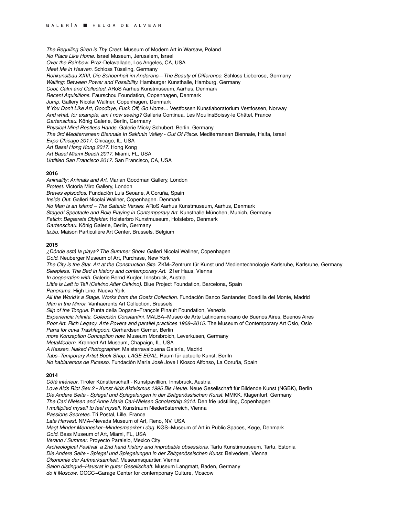*The Beguiling Siren is Thy Crest.* Museum of Modern Art in Warsaw, Poland *No Place Like Home.* Israel Museum, Jerusalem, Israel *Over the Rainbow*. Praz-Delavallade, Los Angeles, CA, USA *Meet Me in Heaven*. Schloss Tüssling, Germany *Rohkunstbau XXIII, Die Schoenheit im Anderens—The Beauty of Difference.* Schloss Lieberose, Germany *Waiting: Between Power and Possibility.* Hamburger Kunsthalle, Hamburg, Germany *Cool, Calm and Collected.* ARoS Aarhus Kunstmuseum, Aarhus, Denmark *Recent Aquisitions.* Faurschou Foundation, Copenhagen, Denmark *Jump*. Gallery Nicolai Wallner, Copenhagen, Denmark *If You Don't Like Art, Goodbye, Fuck Off, Go Home…* Vestfossen Kunstlaboratorium Vestfossen, Norway *And what, for example, am I now seeing?* Galleria Continua. Les MoulinsBoissy-le Châtel, France *Gartenschau.* König Galerie, Berlin, Germany *Physical Mind Restless Hands.* Galerie Micky Schubert, Berlin, Germany *The 3rd Mediterranean Biennale In Sakhnin Valley - Out Of Place.* Mediterranean Biennale, Haifa, Israel *Expo Chicago 2017.* Chicago, IL, USA *Art Basel Hong Kong 2017.* Hong Kong *Art Basel Miami Beach 2017.* Miami, FL, USA *Untitled San Francisco 2017.* San Francisco, CA, USA

#### **2016**

*Animality: Animals and Art.* Marian Goodman Gallery, London *Protest.* Victoria Miro Gallery, London *Breves episodios*. Fundación Luis Seoane, A Coruña, Spain *Inside Out.* Galleri Nicolai Wallner, Copenhagen. Denmark *No Man is an Island – The Satanic Verses*. ARoS Aarhus Kunstmuseum, Aarhus, Denmark Staged! Spectacle and Role Playing in Contemporary Art. Kunsthalle München, Munich, Germany *Fetich: Begærets Objekter.* Holsterbro Kunstmuseum, Holstebro, Denmark *Gartenschau.* König Galerie, Berlin, Germany *ta.bu.* Maison Particulière Art Center, Brussels, Belgium

#### **2015**

*¿Dónde está la playa? The Summer Show.* Galleri Nicolai Wallner, Copenhagen *Gold.* Neuberger Museum of Art, Purchase, New York *The City is the Star. Art at the Construction Site*. ZKM~Zentrum für Kunst und Medientechnologie Karlsruhe, Karlsruhe, Germany *Sleepless. The Bed in history and contemporary Art.* 21er Haus, Vienna *In cooperation with.* Galerie Bernd Kugler, Innsbruck, Austria *Little is Left to Tell (Calvino After Calvino)*. Blue Project Foundation, Barcelona, Spain *Panorama.* High Line, Nueva York All the World's a Stage. Works from the Goetz Collection. Fundación Banco Santander, Boadilla del Monte, Madrid *Man in the Mirror.* Vanhaerents Art Collection, Brussels *Slip of the Tongue.* Punta della Dogana–François Pinault Foundation, Venezia *Experiencia Infinita. Colección Constantini.* MALBA~Museo de Arte Latinoamericano de Buenos Aires, Buenos Aires Poor Art. Rich Legacy. Arte Povera and parallel practices 1968–2015. The Museum of Contemporary Art Oslo, Oslo *Parra for cuva Trashlagoon.* Gerhardsen Gerner, Berlin *more Konzeption Conception now.* Museum Morsbroich, Leverkusen, Germany *MetaModern.* Krannert Art Museum, Chapaign, IL, USA *A Kassen. Naked Photographer*. Maisterravalbuena Galería, Madrid *Tabs–Temporary Artist Book Shop. LAGE EGAL.* Raum für actuelle Kunst, BerlIn *No hablaremos de Picasso.* Fundación María José Jove | Kiosco Alfonso, La Coruña, Spain **2014** *Côté intérieur*. Tiroler Künstlerschaft - Kunstpavillion, Innsbruck, Austria *Love Aids Riot Sex 2 - Kunst Aids Aktivismus 1995 Bis Heute*. Neue Gesellschaft für Bildende Kunst (NGBK), Berlin *Die Andere Seite - Spiegel und Spiegelungen in der Zeitgenössischen Kunst*. MMKK, Klagenfurt, Germany *The Carl Nielsen and Anne Marie Carl-Nielsen Scholarship 2014*. Den frie udstilling, Copenhagen *I multiplied myself to feel myself*. Kunstraum Niederösterreich, Vienna *Passions Secretes.* Tri Postal, Lille, France *Late Harvest.* NMA~Nevada Museum of Art*,* Reno, NV, USA *Magt Minder Mennesker–Mindesmaerker i dag.* KØS~Museum of Art in Public Spaces, Køge, Denmark *Gold.* Bass Museum of Art, Miami, FL, USA *Verano / Summer.* Proyecto Paralelo, Mexico City *Archeological Festival\_a 2nd hand history and improbable obsessions.* Tartu Kunstimuuseum, Tartu, Estonia *Die Andere Seite - Spiegel und Spiegelungen in der Zeitgenössischen Kunst*. Belvedere, Vienna *Ökonomie der Aufmerksamkeit*. Museumsquartier, Vienna *Salon distingué–Hausrat in guter Gesellschaft*. Museum Langmatt, Baden, Germany

*do it Moscow*. GCCC~Garage Center for contemporary Culture, Moscow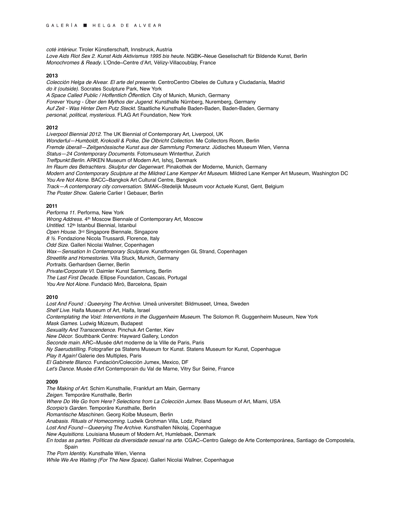*coté intérieur.* Tiroler Künstlerschaft, Innsbruck, Austria *Love Aids Riot Sex 2*. *Kunst Aids Aktivismus 1995 bis heute*. NGBK~Neue Geselischaft für Bildende Kunst, Berlin *Monochromes & Ready*. L'Onde~Centre d'Art, Vélizy-Villacoublay, France

## **2013**

*Colección Helga de Alvear. El arte del presente.* CentroCentro Cibeles de Cultura y Ciudadanía, Madrid *do it (outside)*. Socrates Sculpture Park, New York *A Space Called Public / Hoffentlich Öffentlich*. City of Munich, Munich, Germany *Forever Young - Über den Mythos der Jugend.* Kunsthalle Nürnberg, Nuremberg, Germany *Auf Zeit - Was Hinter Dem Putz Steckt.* Staatliche Kunsthalle Baden-Baden, Baden-Baden, Germany *personal, political, mysterious*. FLAG Art Foundation, New York

# **2012**

*Liverpool Biennial 2012*. The UK Biennial of Contemporary Art, Liverpool, UK *Wonderful—Humboldt, Krokodil & Polke, Die Olbricht Collection*. Me Collectors Room, Berlin *Fremde überall—Zeitgenössische Kunst aus der Sammlung Pomeranz*. Jüdisches Museum Wien, Vienna *Status—24 Contemporary Documents*. Fotomuseum Winterthur, Zurich *Treffpunkt:Berlin*. ARKEN Museum of Modern Art, Ishoj, Denmark *Im Raum des Betrachters. Skulptur der Gegenwart*. Pinakothek der Moderne, Munich, Germany *Modern and Contemporary Sculpture at the Mildred Lane Kemper Art Museum*. Mildred Lane Kemper Art Museum, Washington DC *You Are Not Alone*. BACC~Bangkok Art Cultural Centre, Bangkok *Track—A contemporary city conversation*. SMAK~Stedelijk Museum voor Actuele Kunst, Gent, Belgium *The Poster Show*. Galerie Carlier | Gebauer, Berlin

## **2011**

*Performa 11*. Performa, New York *Wrong Address*. 4th Moscow Biennale of Contemporary Art, Moscow *Untitled.* 12th Istanbul Biennial*,* Istanbul *Open House*. 3rd Singapore Biennale, Singapore *8* ½. Fondazione Nicola Trussardi, Florence, Italy *Odd Size*. Galleri Nicolai Wallner, Copenhagen *Wax—Sensation In Contemporary Sculpture*. Kunstforeningen GL Strand, Copenhagen *Streetlife and Homestories*. Villa Stuck, Munich, Germany *Portraits*. Gerhardsen Gerner, Berlin *Private/Corporate VI*. Daimler Kunst Sammlung, Berlin *The Last First Decade*. Ellipse Foundation, Cascais, Portugal *You Are Not Alone*. Fundació Miró, Barcelona, Spain

#### **2010**

*Lost And Found : Queerying The Archive*. Umeå universitet: Bildmuseet, Umea, Sweden *Shelf Live*. Haifa Museum of Art, Haifa, Israel *Contemplating the Void: Interventions in the Guggenheim Museum.* The Solomon R. Guggenheim Museum, New York *Mask Games*. Ludwig Múzeum, Budapest *Sexuality And Transcendence*. Pinchuk Art Center, Kiev *New Décor*. Southbank Centre: Hayward Gallery, London *Seconde main*. ARC~Musée dArt moderne de la Ville de Paris, Paris *Ny Saerudstilling*. Fotografier pa Statens Museum for Kunst. Statens Museum for Kunst, Copenhague *Play It Again!* Galerie des Multiples, Paris *El Gabinete Blanco*. Fundación/Colección Jumex, Mexico, DF *Let's Dance*. Musée d'Art Contemporain du Val de Marne, Vitry Sur Seine, France

## **2009**

*The Making of Art.* Schirn Kunsthalle, Frankfurt am Main, Germany *Zeigen*. Temporäre Kunsthalle, Berlin *Where Do We Go from Here? Selections from La Colección Jumex*. Bass Museum of Art, Miami, USA *Scorpio's Garden*. Temporäre Kunsthalle, Berlin *Romantische Maschinen*. Georg Kolbe Museum, Berlin *Anabasis*. *Rituals of Homecoming*. Ludwik Grohman Villa, Lodz, Poland *Lost And Found—Queerying The Archive*. Kunsthallen Nikolaj, Copenhague *New Aquisitions*. Louisiana Museum of Modern Art, Humlebaek, Denmark *En todas as partes. Políticas da diversidade sexual na arte*. CGAC~Centro Galego de Arte Contemporánea, Santiago de Compostela, Spain *The Porn Identity*. Kunsthalle Wien, Vienna

*While We Are Waiting (For The New Space)*. Galleri Nicolai Wallner, Copenhague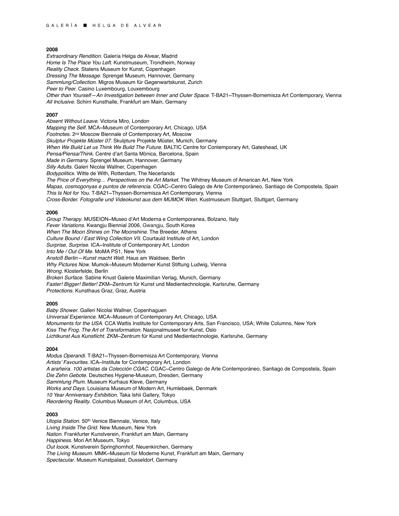*Extraordinary Rendition*. Galería Helga de Alvear, Madrid *Home Is The Place You Left*. Kunstmuseum, Trondheim, Norway *Reality Check*. Statens Museum for Kunst, Copenhagen *Dressing The Message*. Sprengel Museum, Hannover, Germany *Sammlung/Collection*. Migros Museum für Gegenwartskunst, Zurich *Peer to Peer.* Casino Luxembourg, Louxembourg *Other than Yourself—An Investigation between Inner and Outer Space*. T-BA21~Thyssen-Bornemisza Art Contemporary, Vienna *All Inclusive.* Schirn Kunsthalle, Frankfurt am Main, Germany

#### **2007**

*Absent Without Leave*. Victoria Miro, London *Mapping the Self*. MCA~Museum of Contemporary Art, Chicago, USA *Footnotes*. 2nd Moscow Biennale of Contemporary Art, Moscow *Skulptur Projekte Müster 07*. Skulpture Projekte Müster, Munich, Germany *When We Build Let us Think We Build The Future*. BALTIC Centre for Contemporary Art, Gateshead, UK *Pensa/Piensa/Think.* Centre d'art Santa Mònica, Barcelona, Spain *Made in Germany.* Sprengel Museum, Hannover, Germany *Silly Adults.* Galeri Nicolai Wallner, Copenhagen *Bodypoliticx.* Witte de With, Rotterdam, The Necerlands *The Price of Everything… Perspectives on the Art Market*. The Whitney Museum of American Art, New York *Mapas, cosmogonyas e puntos de referencia*. CGAC~Centro Galego de Arte Contemporáneo, Santiago de Compostela, Spain *This Is Not for You*. T-BA21~Thyssen-Bornemisza Art Contemporary, Vienna *Cross-Border. Fotografie und Videokunst aus dem MUMOK Wien*. Kustmuseum Stuttgart, Stuttgart, Germany

# **2006**

*Group Therapy*. MUSEION~Museo d'Art Moderna e Contemporanea, Bolzano, Italy *Fever Variations*. Kwangju Biennial 2006, Gwangju, South Korea *When The Moon Shines on The Moonshine*. The Breeder, Athens *Culture Bound / East Wing Collection VII*. Courtauld Institute of Art, London *Surprise, Surprise*. ICA~Institute of Contemporary Art, London *Into Me / Out Of Me*. MoMA PS1, New York *Anstoß Berlin—Kunst macht Welt*. Haus am Waldsee, Berlin *Why Pictures Now*. Mumok~Museum Moderner Kunst Stiftung Ludwig, Vienna *Wrong.* Klosterfelde, Berlin *Broken Surface*. Sabine Knust Galerie Maximilian Verlag, Munich, Germany *Faster! Bigger! Better!* ZKM~Zentrum für Kunst und Medientechnologie, Karlsruhe, Germany *Protections.* Kunsthaus Graz, Graz, Austria

## **2005**

*Baby Shower*. Galleri Nicolai Wallner, Copenhaguen *Universal Experience*. MCA~Museum of Contemporary Art, Chicago, USA *Monuments for the USA*. CCA Wattis Institute for Contemporary Arts, San Francisco, USA; White Columns, New York *Kiss The Frog. The Art of Transformation*. Nasjonalmuseet for Kunst, Oslo *Lichtkunst Aus Kunstlicht*. ZKM~Zentrum für Kunst und Medientechnologie, Karlsruhe, Germany

## **2004**

*Modus Operandi*. T-BA21~Thyssen-Bornemisza Art Contemporary, Vienna *Artists' Favourites*. ICA~Institute for Contemporary Art, London *A arañeira. 100 artistas da Colección CGAC*. CGAC~Centro Galego de Arte Contemporáneo, Santiago de Compostela, Spain *Die Zehn Gebote*. Deutsches Hygiene-Museum, Dresden, Germany *Sammlung Plum*. Museum Kurhaus Kleve, Germany *Works and Days*. Louisiana Museum of Modern Art, Humlebaek, Denmark *10 Year Anniversary Exhibition*. Taka Ishii Gallery, Tokyo *Reordering Reality*. Columbus Museum of Art, Columbus, USA

#### **2003**

*Utopia Station.* 50th Venice Biennale, Venice, Italy *Living Inside The Grid*. New Museum, New York *Nation*. Frankfurter Kunstverein, Frankfurt am Main, Germany *Happiness*. Mori Art Museum, Tokyo *Out loook*. Kunstverein Springhornhof, Neuenkirchen, Germany *The Living Museum*. MMK~Museum für Moderne Kunst, Frankfurt am Main, Germany *Spectacular*. Museum Kunstpalast, Dusseldorf, Germany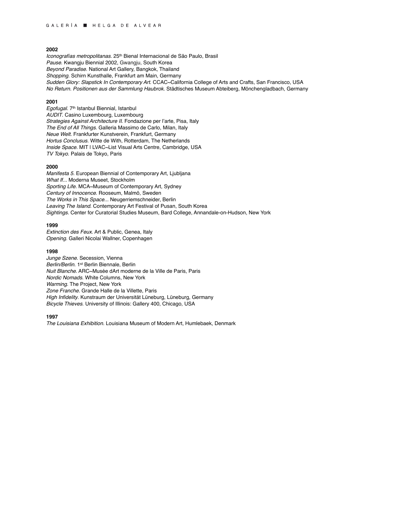*Iconografías metropolitanas.* 25th Bienal Internacional de São Paulo, Brasil *Pause*. Kwangju Biennial 2002, Gwangju, South Korea *Beyond Paradise*. National Art Gallery, Bangkok, Thailand *Shopping*. Schirn Kunsthalle, Frankfurt am Main, Germany *Sudden Glory: Slapstick In Contemporary Art*. CCAC~California College of Arts and Crafts, San Francisco, USA *No Return. Positionen aus der Sammlung Haubrok*. Städtisches Museum Abteiberg, Mönchengladbach, Germany

# **2001**

*Egofugal*. 7th Istanbul Biennial*,* Istanbul *AUDIT*. Casino Luxembourg, Luxembourg *Strategies Against Architecture II*. Fondazione per l'arte, Pisa, Italy *The End of All Things*. Galleria Massimo de Carlo, Milan, Italy *Neue Welt*. Frankfurter Kunstverein, Frankfurt, Germany *Hortus Conclusus*. Witte de With, Rotterdam, The Netherlands *Inside Space*. MIT | LVAC~List Visual Arts Centre, Cambridge, USA *TV Tokyo*. Palais de Tokyo, Paris

## **2000**

*Manifesta 5*. European Biennial of Contemporary Art, Ljubljana *What If...* Moderna Museet, Stockholm *Sporting Life*. MCA~Museum of Contemporary Art, Sydney *Century of Innocence*. Rooseum, Malmö, Sweden *The Works in This Space...* Neugerriemschneider, Berlin *Leaving The Island*. Contemporary Art Festival of Pusan, South Korea *Sightings*. Center for Curatorial Studies Museum, Bard College, Annandale-on-Hudson, New York

# **1999**

*Extinction des Feux*. Art & Public, Genea, Italy *Opening*. Galleri Nicolai Wallner, Copenhagen

# **1998**

*Junge Szene*. Secession, Vienna *Berlin/Berlin*. 1st Berlin Biennale, Berlin *Nuit Blanche*. ARC~Musée dArt moderne de la Ville de Paris, Paris *Nordic Nomads*. White Columns, New York *Warming*. The Project, New York *Zone Franche*. Grande Halle de la Villette, Paris *High Infidelity*. Kunstraum der Universität Lüneburg, Lüneburg, Germany *Bicycle Thieves*. University of Illinois: Gallery 400, Chicago, USA

## **1997**

*The Louisiana Exhibition*. Louisiana Museum of Modern Art, Humlebaek, Denmark